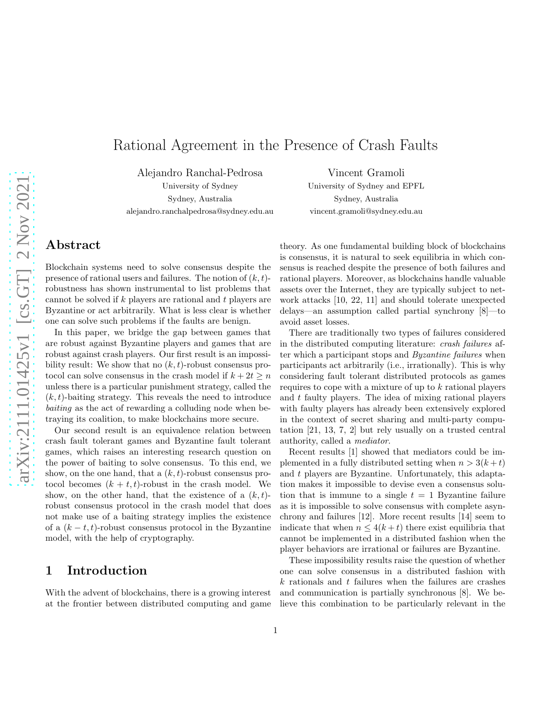# Rational Agreement in the Presence of Crash Faults

Alejandro Ranchal-Pedrosa

University of Sydney Sydney, Australia alejandro.ranchalpedrosa@sydney.edu.au

Vincent Gramoli University of Sydney and EPFL Sydney, Australia vincent.gramoli@sydney.edu.au

## Abstract

Blockchain systems need to solve consensus despite the presence of rational users and failures. The notion of  $(k, t)$ robustness has shown instrumental to list problems that cannot be solved if k players are rational and t players are Byzantine or act arbitrarily. What is less clear is whether one can solve such problems if the faults are benign.

In this paper, we bridge the gap between games that are robust against Byzantine players and games that are robust against crash players. Our first result is an impossibility result: We show that no  $(k, t)$ -robust consensus protocol can solve consensus in the crash model if  $k + 2t \geq n$ unless there is a particular punishment strategy, called the  $(k, t)$ -baiting strategy. This reveals the need to introduce baiting as the act of rewarding a colluding node when betraying its coalition, to make blockchains more secure.

Our second result is an equivalence relation between crash fault tolerant games and Byzantine fault tolerant games, which raises an interesting research question on the power of baiting to solve consensus. To this end, we show, on the one hand, that a  $(k, t)$ -robust consensus protocol becomes  $(k + t, t)$ -robust in the crash model. We show, on the other hand, that the existence of a  $(k, t)$ robust consensus protocol in the crash model that does not make use of a baiting strategy implies the existence of a  $(k - t, t)$ -robust consensus protocol in the Byzantine model, with the help of cryptography.

### 1 Introduction

With the advent of blockchains, there is a growing interest at the frontier between distributed computing and game theory. As one fundamental building block of blockchains is consensus, it is natural to seek equilibria in which consensus is reached despite the presence of both failures and rational players. Moreover, as blockchains handle valuable assets over the Internet, they are typically subject to network attacks [10, 22, 11] and should tolerate unexpected delays—an assumption called partial synchrony [8]—to avoid asset losses.

There are traditionally two types of failures considered in the distributed computing literature: crash failures after which a participant stops and Byzantine failures when participants act arbitrarily (i.e., irrationally). This is why considering fault tolerant distributed protocols as games requires to cope with a mixture of up to k rational players and  $t$  faulty players. The idea of mixing rational players with faulty players has already been extensively explored in the context of secret sharing and multi-party computation [21, 13, 7, 2] but rely usually on a trusted central authority, called a mediator.

Recent results [1] showed that mediators could be implemented in a fully distributed setting when  $n > 3(k+t)$ and t players are Byzantine. Unfortunately, this adaptation makes it impossible to devise even a consensus solution that is immune to a single  $t = 1$  Byzantine failure as it is impossible to solve consensus with complete asynchrony and failures [12]. More recent results [14] seem to indicate that when  $n \leq 4(k+t)$  there exist equilibria that cannot be implemented in a distributed fashion when the player behaviors are irrational or failures are Byzantine.

These impossibility results raise the question of whether one can solve consensus in a distributed fashion with  $k$  rationals and  $t$  failures when the failures are crashes and communication is partially synchronous [8]. We believe this combination to be particularly relevant in the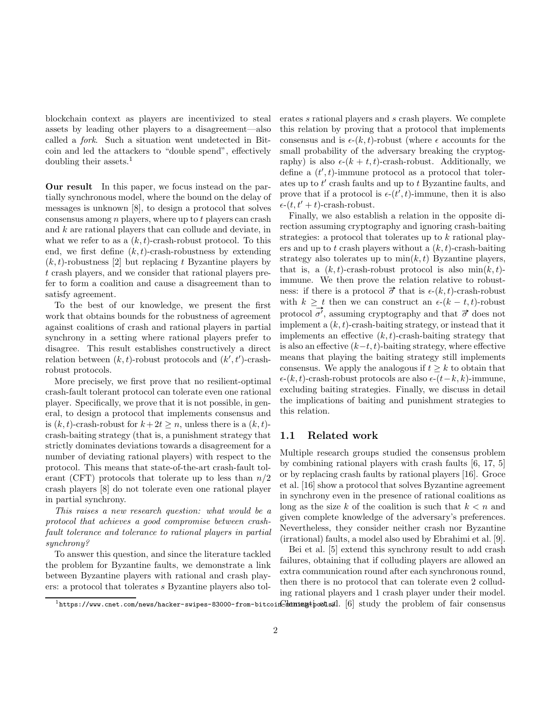blockchain context as players are incentivized to steal assets by leading other players to a disagreement—also called a fork. Such a situation went undetected in Bitcoin and led the attackers to "double spend", effectively doubling their assets. $<sup>1</sup>$ </sup>

Our result In this paper, we focus instead on the partially synchronous model, where the bound on the delay of messages is unknown [8], to design a protocol that solves consensus among  $n$  players, where up to  $t$  players can crash and k are rational players that can collude and deviate, in what we refer to as a  $(k, t)$ -crash-robust protocol. To this end, we first define  $(k, t)$ -crash-robustness by extending  $(k, t)$ -robustness [2] but replacing t Byzantine players by t crash players, and we consider that rational players prefer to form a coalition and cause a disagreement than to satisfy agreement.

To the best of our knowledge, we present the first work that obtains bounds for the robustness of agreement against coalitions of crash and rational players in partial synchrony in a setting where rational players prefer to disagree. This result establishes constructively a direct relation between  $(k, t)$ -robust protocols and  $(k', t')$ -crashrobust protocols.

More precisely, we first prove that no resilient-optimal crash-fault tolerant protocol can tolerate even one rational player. Specifically, we prove that it is not possible, in general, to design a protocol that implements consensus and is  $(k, t)$ -crash-robust for  $k+2t \geq n$ , unless there is a  $(k, t)$ crash-baiting strategy (that is, a punishment strategy that strictly dominates deviations towards a disagreement for a number of deviating rational players) with respect to the protocol. This means that state-of-the-art crash-fault tolerant (CFT) protocols that tolerate up to less than  $n/2$ crash players [8] do not tolerate even one rational player in partial synchrony.

This raises a new research question: what would be a protocol that achieves a good compromise between crashfault tolerance and tolerance to rational players in partial synchrony?

To answer this question, and since the literature tackled the problem for Byzantine faults, we demonstrate a link between Byzantine players with rational and crash players: a protocol that tolerates s Byzantine players also tolerates s rational players and s crash players. We complete this relation by proving that a protocol that implements consensus and is  $\epsilon$ -(k, t)-robust (where  $\epsilon$  accounts for the small probability of the adversary breaking the cryptography) is also  $\epsilon$ - $(k + t, t)$ -crash-robust. Additionally, we define a  $(t', t)$ -immune protocol as a protocol that tolerates up to  $t'$  crash faults and up to  $t$  Byzantine faults, and prove that if a protocol is  $\epsilon$ - $(t', t)$ -immune, then it is also  $\epsilon$ - $(t, t' + t)$ -crash-robust.

Finally, we also establish a relation in the opposite direction assuming cryptography and ignoring crash-baiting strategies: a protocol that tolerates up to k rational players and up to t crash players without a  $(k, t)$ -crash-baiting strategy also tolerates up to  $\min(k, t)$  Byzantine players, that is, a  $(k, t)$ -crash-robust protocol is also  $\min(k, t)$ immune. We then prove the relation relative to robustness: if there is a protocol  $\vec{\sigma}$  that is  $\epsilon$ - $(k, t)$ -crash-robust with  $k \geq t$  then we can construct an  $\epsilon$ - $(k - t, t)$ -robust protocol  $\vec{\sigma'}$ , assuming cryptography and that  $\vec{\sigma}$  does not implement a  $(k, t)$ -crash-baiting strategy, or instead that it implements an effective  $(k, t)$ -crash-baiting strategy that is also an effective  $(k-t, t)$ -baiting strategy, where effective means that playing the baiting strategy still implements consensus. We apply the analogous if  $t > k$  to obtain that  $\epsilon$ -(k, t)-crash-robust protocols are also  $\epsilon$ -(t–k, k)-immune, excluding baiting strategies. Finally, we discuss in detail the implications of baiting and punishment strategies to this relation.

#### 1.1 Related work

Multiple research groups studied the consensus problem by combining rational players with crash faults [6, 17, 5] or by replacing crash faults by rational players [16]. Groce et al. [16] show a protocol that solves Byzantine agreement in synchrony even in the presence of rational coalitions as long as the size k of the coalition is such that  $k < n$  and given complete knowledge of the adversary's preferences. Nevertheless, they consider neither crash nor Byzantine (irrational) faults, a model also used by Ebrahimi et al. [9].

Bei et al. [5] extend this synchrony result to add crash failures, obtaining that if colluding players are allowed an extra communication round after each synchronous round, then there is no protocol that can tolerate even 2 colluding rational players and 1 crash player under their model.

 $^{1}$ https://www.cnet.com/news/hacker-swipes-83000-from-bitcoin $G$ hennengtpoolsal. [6] study the problem of fair consensus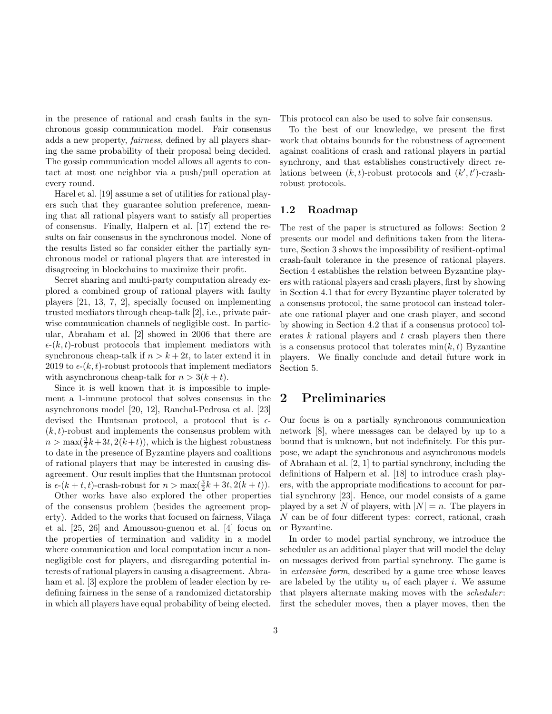in the presence of rational and crash faults in the synchronous gossip communication model. Fair consensus adds a new property, fairness, defined by all players sharing the same probability of their proposal being decided. The gossip communication model allows all agents to contact at most one neighbor via a push/pull operation at every round.

Harel et al. [19] assume a set of utilities for rational players such that they guarantee solution preference, meaning that all rational players want to satisfy all properties of consensus. Finally, Halpern et al. [17] extend the results on fair consensus in the synchronous model. None of the results listed so far consider either the partially synchronous model or rational players that are interested in disagreeing in blockchains to maximize their profit.

Secret sharing and multi-party computation already explored a combined group of rational players with faulty players [21, 13, 7, 2], specially focused on implementing trusted mediators through cheap-talk [2], i.e., private pairwise communication channels of negligible cost. In particular, Abraham et al. [2] showed in 2006 that there are  $\epsilon$ -(k, t)-robust protocols that implement mediators with synchronous cheap-talk if  $n > k + 2t$ , to later extend it in 2019 to  $\epsilon$ -(k, t)-robust protocols that implement mediators with asynchronous cheap-talk for  $n > 3(k + t)$ .

Since it is well known that it is impossible to implement a 1-immune protocol that solves consensus in the asynchronous model [20, 12], Ranchal-Pedrosa et al. [23] devised the Huntsman protocol, a protocol that is  $\epsilon$ - $(k, t)$ -robust and implements the consensus problem with  $n > \max(\frac{3}{2}k+3t, 2(k+t))$ , which is the highest robustness to date in the presence of Byzantine players and coalitions of rational players that may be interested in causing disagreement. Our result implies that the Huntsman protocol is  $\epsilon$ -(k + t, t)-crash-robust for  $n > \max(\frac{3}{2}k + 3t, 2(k + t)).$ 

Other works have also explored the other properties of the consensus problem (besides the agreement property). Added to the works that focused on fairness, Vilaça et al. [25, 26] and Amoussou-guenou et al. [4] focus on the properties of termination and validity in a model where communication and local computation incur a nonnegligible cost for players, and disregarding potential interests of rational players in causing a disagreement. Abraham et al. [3] explore the problem of leader election by redefining fairness in the sense of a randomized dictatorship in which all players have equal probability of being elected.

This protocol can also be used to solve fair consensus.

To the best of our knowledge, we present the first work that obtains bounds for the robustness of agreement against coalitions of crash and rational players in partial synchrony, and that establishes constructively direct relations between  $(k, t)$ -robust protocols and  $(k', t')$ -crashrobust protocols.

#### 1.2 Roadmap

The rest of the paper is structured as follows: Section 2 presents our model and definitions taken from the literature, Section 3 shows the impossibility of resilient-optimal crash-fault tolerance in the presence of rational players. Section 4 establishes the relation between Byzantine players with rational players and crash players, first by showing in Section 4.1 that for every Byzantine player tolerated by a consensus protocol, the same protocol can instead tolerate one rational player and one crash player, and second by showing in Section 4.2 that if a consensus protocol tolerates  $k$  rational players and  $t$  crash players then there is a consensus protocol that tolerates  $min(k, t)$  Byzantine players. We finally conclude and detail future work in Section 5.

### 2 Preliminaries

Our focus is on a partially synchronous communication network [8], where messages can be delayed by up to a bound that is unknown, but not indefinitely. For this purpose, we adapt the synchronous and asynchronous models of Abraham et al. [2, 1] to partial synchrony, including the definitions of Halpern et al. [18] to introduce crash players, with the appropriate modifications to account for partial synchrony [23]. Hence, our model consists of a game played by a set N of players, with  $|N| = n$ . The players in N can be of four different types: correct, rational, crash or Byzantine.

In order to model partial synchrony, we introduce the scheduler as an additional player that will model the delay on messages derived from partial synchrony. The game is in extensive form, described by a game tree whose leaves are labeled by the utility  $u_i$  of each player i. We assume that players alternate making moves with the *scheduler*: first the scheduler moves, then a player moves, then the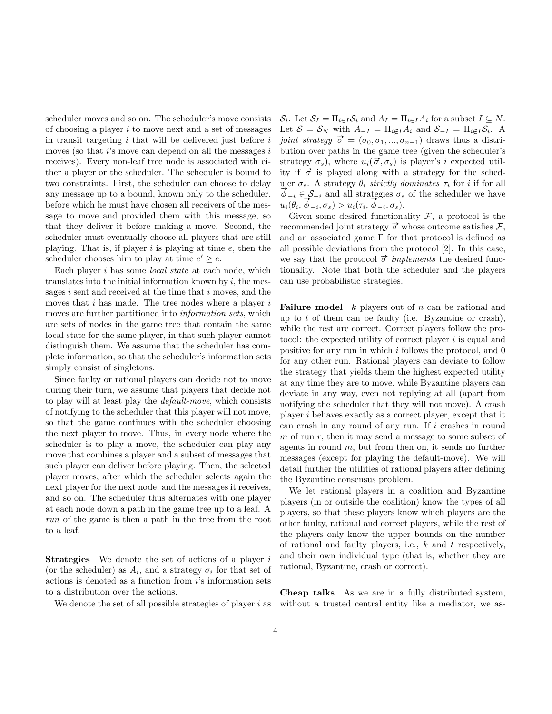scheduler moves and so on. The scheduler's move consists of choosing a player  $i$  to move next and a set of messages in transit targeting  $i$  that will be delivered just before  $i$ moves (so that  $i$ 's move can depend on all the messages  $i$ receives). Every non-leaf tree node is associated with either a player or the scheduler. The scheduler is bound to two constraints. First, the scheduler can choose to delay any message up to a bound, known only to the scheduler, before which he must have chosen all receivers of the message to move and provided them with this message, so that they deliver it before making a move. Second, the scheduler must eventually choose all players that are still playing. That is, if player  $i$  is playing at time  $e$ , then the scheduler chooses him to play at time  $e' \geq e$ .

Each player i has some *local state* at each node, which translates into the initial information known by  $i$ , the messages  $i$  sent and received at the time that  $i$  moves, and the moves that  $i$  has made. The tree nodes where a player  $i$ moves are further partitioned into information sets, which are sets of nodes in the game tree that contain the same local state for the same player, in that such player cannot distinguish them. We assume that the scheduler has complete information, so that the scheduler's information sets simply consist of singletons.

Since faulty or rational players can decide not to move during their turn, we assume that players that decide not to play will at least play the default-move, which consists of notifying to the scheduler that this player will not move, so that the game continues with the scheduler choosing the next player to move. Thus, in every node where the scheduler is to play a move, the scheduler can play any move that combines a player and a subset of messages that such player can deliver before playing. Then, the selected player moves, after which the scheduler selects again the next player for the next node, and the messages it receives, and so on. The scheduler thus alternates with one player at each node down a path in the game tree up to a leaf. A run of the game is then a path in the tree from the root to a leaf.

**Strategies** We denote the set of actions of a player  $i$ (or the scheduler) as  $A_i$ , and a strategy  $\sigma_i$  for that set of actions is denoted as a function from i's information sets to a distribution over the actions.

We denote the set of all possible strategies of player  $i$  as

 $\mathcal{S}_i$ . Let  $\mathcal{S}_I = \prod_{i \in I} \mathcal{S}_i$  and  $A_I = \prod_{i \in I} A_i$  for a subset  $I \subseteq N$ . Let  $S = S_N$  with  $A_{-I} = \prod_{i \notin I} A_i$  and  $S_{-I} = \prod_{i \notin I} S_i$ . A joint strategy  $\vec{\sigma} = (\sigma_0, \sigma_1, ..., \sigma_{n-1})$  draws thus a distribution over paths in the game tree (given the scheduler's strategy  $\sigma_s$ ), where  $u_i(\vec{\sigma}, \sigma_s)$  is player's *i* expected utility if  $\vec{\sigma}$  is played along with a strategy for the scheduler  $\sigma_s$ . A strategy  $\theta_i$  strictly dominates  $\tau_i$  for i if for all  $\phi_{-i} \in \mathcal{S}_{-i}$  and all strategies  $\sigma_s$  of the scheduler we have  $\varphi_{-i} \in S_{-i}$  and all strategies  $\sigma_s$ <br>  $u_i(\theta_i, \phi_{-i}, \sigma_s) > u_i(\tau_i, \phi_{-i}, \sigma_s)$ .

Given some desired functionality  $\mathcal F$ , a protocol is the recommended joint strategy  $\vec{\sigma}$  whose outcome satisfies  $\mathcal{F},$ and an associated game  $\Gamma$  for that protocol is defined as all possible deviations from the protocol [2]. In this case, we say that the protocol  $\vec{\sigma}$  implements the desired functionality. Note that both the scheduler and the players can use probabilistic strategies.

**Failure model**  $k$  players out of  $n$  can be rational and up to  $t$  of them can be faulty (i.e. Byzantine or crash), while the rest are correct. Correct players follow the protocol: the expected utility of correct player i is equal and positive for any run in which i follows the protocol, and 0 for any other run. Rational players can deviate to follow the strategy that yields them the highest expected utility at any time they are to move, while Byzantine players can deviate in any way, even not replying at all (apart from notifying the scheduler that they will not move). A crash player i behaves exactly as a correct player, except that it can crash in any round of any run. If  $i$  crashes in round  $m$  of run  $r$ , then it may send a message to some subset of agents in round  $m$ , but from then on, it sends no further messages (except for playing the default-move). We will detail further the utilities of rational players after defining the Byzantine consensus problem.

We let rational players in a coalition and Byzantine players (in or outside the coalition) know the types of all players, so that these players know which players are the other faulty, rational and correct players, while the rest of the players only know the upper bounds on the number of rational and faulty players, i.e.,  $k$  and  $t$  respectively, and their own individual type (that is, whether they are rational, Byzantine, crash or correct).

Cheap talks As we are in a fully distributed system, without a trusted central entity like a mediator, we as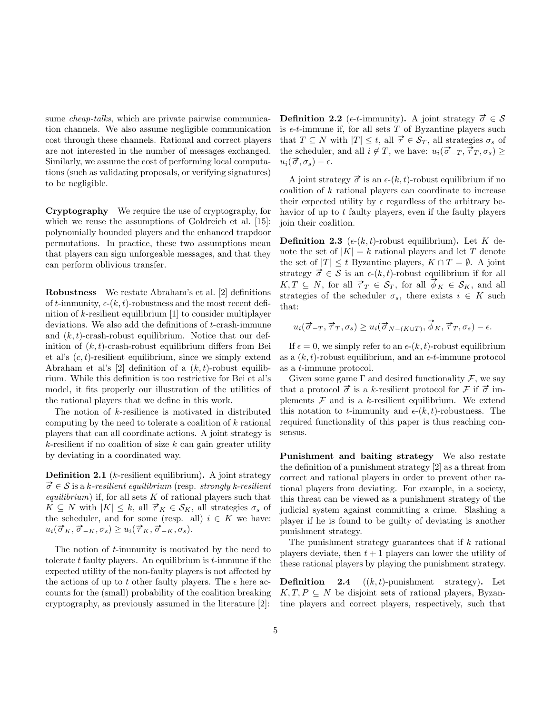sume *cheap-talks*, which are private pairwise communication channels. We also assume negligible communication cost through these channels. Rational and correct players are not interested in the number of messages exchanged. Similarly, we assume the cost of performing local computations (such as validating proposals, or verifying signatures) to be negligible.

Cryptography We require the use of cryptography, for which we reuse the assumptions of Goldreich et al. [15]: polynomially bounded players and the enhanced trapdoor permutations. In practice, these two assumptions mean that players can sign unforgeable messages, and that they can perform oblivious transfer.

Robustness We restate Abraham's et al. [2] definitions of t-immunity,  $\epsilon$ - $(k, t)$ -robustness and the most recent definition of k-resilient equilibrium [1] to consider multiplayer deviations. We also add the definitions of t-crash-immune and  $(k, t)$ -crash-robust equilibrium. Notice that our definition of  $(k, t)$ -crash-robust equilibrium differs from Bei et al's  $(c, t)$ -resilient equilibrium, since we simply extend Abraham et al's [2] definition of a  $(k, t)$ -robust equilibrium. While this definition is too restrictive for Bei et al's model, it fits properly our illustration of the utilities of the rational players that we define in this work.

The notion of k-resilience is motivated in distributed computing by the need to tolerate a coalition of k rational players that can all coordinate actions. A joint strategy is k-resilient if no coalition of size  $k$  can gain greater utility by deviating in a coordinated way.

**Definition 2.1** ( $k$ -resilient equilibrium). A joint strategy  $\vec{\sigma} \in \mathcal{S}$  is a k-resilient equilibrium (resp. strongly k-resilient equilibrium) if, for all sets  $K$  of rational players such that  $K \subseteq N$  with  $|K| \leq k$ , all  $\vec{\tau}_K \in \mathcal{S}_K$ , all strategies  $\sigma_s$  of the scheduler, and for some (resp. all)  $i \in K$  we have:  $u_i(\vec{\sigma}_K, \vec{\sigma}_{-K}, \sigma_s) \geq u_i(\vec{\tau}_K, \vec{\sigma}_{-K}, \sigma_s).$ 

The notion of t-immunity is motivated by the need to tolerate  $t$  faulty players. An equilibrium is  $t$ -immune if the expected utility of the non-faulty players is not affected by the actions of up to t other faulty players. The  $\epsilon$  here accounts for the (small) probability of the coalition breaking cryptography, as previously assumed in the literature [2]:

Definition 2.2 ( $\epsilon$ -t-immunity). A joint strategy  $\vec{\sigma} \in \mathcal{S}$ is  $\epsilon$ -t-immune if, for all sets T of Byzantine players such that  $T \subseteq N$  with  $|T| \leq t$ , all  $\vec{\tau} \in \mathcal{S}_T$ , all strategies  $\sigma_s$  of the scheduler, and all  $i \notin T$ , we have:  $u_i(\vec{\sigma}_{-T}, \vec{\tau}_T, \sigma_s) \geq$ une senedurer<br>  $u_i(\vec{\sigma}, \sigma_s) - \epsilon.$ 

A joint strategy  $\vec{\sigma}$  is an  $\epsilon$ - $(k, t)$ -robust equilibrium if no coalition of k rational players can coordinate to increase their expected utility by  $\epsilon$  regardless of the arbitrary behavior of up to  $t$  faulty players, even if the faulty players join their coalition.

**Definition 2.3** ( $\epsilon$ -( $k$ ,  $t$ )-robust equilibrium). Let K denote the set of  $|K| = k$  rational players and let T denote the set of  $|T| \leq t$  Byzantine players,  $K \cap T = \emptyset$ . A joint strategy  $\vec{\sigma} \in \mathcal{S}$  is an  $\epsilon$ - $(k, t)$ -robust equilibrium if for all  $K, T \subseteq N$ , for all  $\vec{\tau}_T \in \mathcal{S}_T$ , for all  $\phi_K \in \mathcal{S}_K$ , and all strategies of the scheduler  $\sigma_s$ , there exists  $i \in K$  such that:

$$
u_i(\vec{\sigma}_{-T}, \vec{\tau}_T, \sigma_s) \ge u_i(\vec{\sigma}_{N-(K \cup T)}, \vec{\phi}_K, \vec{\tau}_T, \sigma_s) - \epsilon.
$$

If  $\epsilon = 0$ , we simply refer to an  $\epsilon$ - $(k, t)$ -robust equilibrium as a  $(k, t)$ -robust equilibrium, and an  $\epsilon$ -t-immune protocol as a t-immune protocol.

Given some game  $\Gamma$  and desired functionality  $\mathcal F$ , we say that a protocol  $\vec{\sigma}$  is a k-resilient protocol for F if  $\vec{\sigma}$  implements  $\mathcal F$  and is a k-resilient equilibrium. We extend this notation to t-immunity and  $\epsilon$ -(k, t)-robustness. The required functionality of this paper is thus reaching consensus.

Punishment and baiting strategy We also restate the definition of a punishment strategy [2] as a threat from correct and rational players in order to prevent other rational players from deviating. For example, in a society, this threat can be viewed as a punishment strategy of the judicial system against committing a crime. Slashing a player if he is found to be guilty of deviating is another punishment strategy.

The punishment strategy guarantees that if  $k$  rational players deviate, then  $t + 1$  players can lower the utility of these rational players by playing the punishment strategy.

**Definition** 2.4  $((k, t)$ -punishment strategy). Let  $K, T, P \subseteq N$  be disjoint sets of rational players, Byzantine players and correct players, respectively, such that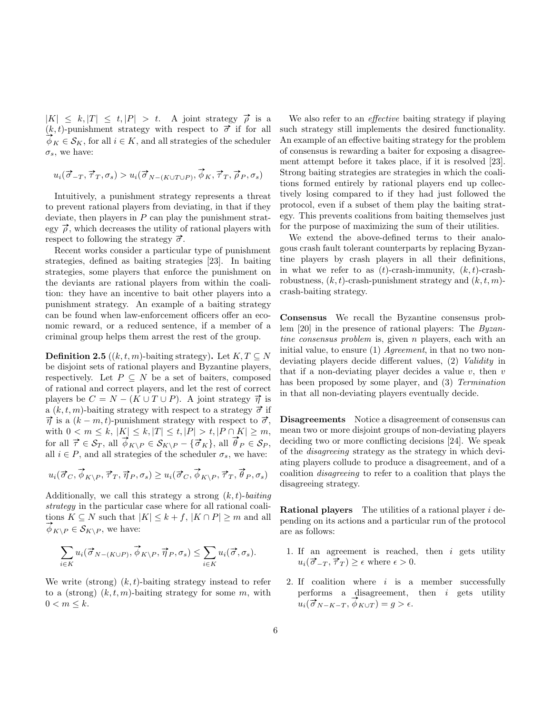$|K| \leq k, |T| \leq t, |P| > t.$  A joint strategy  $\vec{\rho}$  is a  $(k, t)$ -punishment strategy with respect to  $\vec{\sigma}$  if for all  $\oint_K \in \mathcal{S}_K$ , for all  $i \in K$ , and all strategies of the scheduler  $\sigma_s$ , we have:

$$
u_i(\vec{\sigma}_{-T}, \vec{\tau}_T, \sigma_s) > u_i(\vec{\sigma}_{N-(K \cup T \cup P)}, \vec{\phi}_K, \vec{\tau}_T, \vec{\rho}_P, \sigma_s)
$$

Intuitively, a punishment strategy represents a threat to prevent rational players from deviating, in that if they deviate, then players in  $P$  can play the punishment strategy  $\vec{\rho}$ , which decreases the utility of rational players with respect to following the strategy  $\vec{\sigma}$ .

Recent works consider a particular type of punishment strategies, defined as baiting strategies [23]. In baiting strategies, some players that enforce the punishment on the deviants are rational players from within the coalition: they have an incentive to bait other players into a punishment strategy. An example of a baiting strategy can be found when law-enforcement officers offer an economic reward, or a reduced sentence, if a member of a criminal group helps them arrest the rest of the group.

**Definition 2.5** ((k, t, m)-baiting strategy). Let  $K, T \subseteq N$ be disjoint sets of rational players and Byzantine players, respectively. Let  $P \subseteq N$  be a set of baiters, composed of rational and correct players, and let the rest of correct players be  $C = N - (K \cup T \cup P)$ . A joint strategy  $\vec{\eta}$  is a  $(k, t, m)$ -baiting strategy with respect to a strategy  $\vec{\sigma}$  if  $\vec{\eta}$  is a  $(k - m, t)$ -punishment strategy with respect to  $\vec{\sigma}$ , with  $0 < m \leq k$ ,  $|K| \leq k$ ,  $|T| \leq t$ ,  $|P| > t$ ,  $|P \cap K| \geq m$ ,<br>for all  $\vec{\tau} \in \mathcal{S}_T$ , all  $\vec{\phi}_{K \setminus P} \in \mathcal{S}_{K \setminus P} - \{\vec{\sigma}_K\}$ , all  $\vec{\theta}_P \in \mathcal{S}_P$ , all  $i \in P$ , and all strategies of the scheduler  $\sigma_s$ , we have:

$$
u_i(\overrightarrow{\sigma}_C,\overrightarrow{\phi}_{K\backslash P},\overrightarrow{\tau}_T,\overrightarrow{\eta}_P,\sigma_s)\geq u_i(\overrightarrow{\sigma}_C,\overrightarrow{\phi}_{K\backslash P},\overrightarrow{\tau}_T,\overrightarrow{\theta}_P,\sigma_s)
$$

Additionally, we call this strategy a strong  $(k, t)$ -baiting strategy in the particular case where for all rational coalitions  $K \subseteq N$  such that  $|K| \leq k + f$ ,  $|K \cap P| \geq m$  and all  $\phi_{K\setminus P} \in \mathcal{S}_{K\setminus P}$ , we have:

$$
\sum_{i \in K} u_i(\vec{\sigma}_{N-(K \cup P)}, \vec{\phi}_{K \setminus P}, \vec{\eta}_{P}, \sigma_s) \leq \sum_{i \in K} u_i(\vec{\sigma}, \sigma_s).
$$

We write (strong)  $(k, t)$ -baiting strategy instead to refer to a (strong)  $(k, t, m)$ -baiting strategy for some m, with  $0 < m \leq k$ .

We also refer to an *effective* baiting strategy if playing such strategy still implements the desired functionality. An example of an effective baiting strategy for the problem of consensus is rewarding a baiter for exposing a disagreement attempt before it takes place, if it is resolved [23]. Strong baiting strategies are strategies in which the coalitions formed entirely by rational players end up collectively losing compared to if they had just followed the protocol, even if a subset of them play the baiting strategy. This prevents coalitions from baiting themselves just for the purpose of maximizing the sum of their utilities.

We extend the above-defined terms to their analogous crash fault tolerant counterparts by replacing Byzantine players by crash players in all their definitions, in what we refer to as  $(t)$ -crash-immunity,  $(k, t)$ -crashrobustness,  $(k, t)$ -crash-punishment strategy and  $(k, t, m)$ crash-baiting strategy.

Consensus We recall the Byzantine consensus problem [20] in the presence of rational players: The Byzantine consensus problem is, given n players, each with an initial value, to ensure  $(1)$  *Agreement*, in that no two nondeviating players decide different values, (2) Validity in that if a non-deviating player decides a value  $v$ , then  $v$ has been proposed by some player, and (3) Termination in that all non-deviating players eventually decide.

Disagreements Notice a disagreement of consensus can mean two or more disjoint groups of non-deviating players deciding two or more conflicting decisions [24]. We speak of the disagreeing strategy as the strategy in which deviating players collude to produce a disagreement, and of a coalition disagreeing to refer to a coalition that plays the disagreeing strategy.

**Rational players** The utilities of a rational player  $i$  depending on its actions and a particular run of the protocol are as follows:

- 1. If an agreement is reached, then  $i$  gets utility  $u_i(\vec{\sigma}_{-T}, \vec{\tau}_T) \geq \epsilon$  where  $\epsilon > 0$ .
- 2. If coalition where  $i$  is a member successfully performs a disagreement, then  $i$  gets utility pertorms a disagreement,<br>  $u_i(\vec{\sigma}_{N-K-T}, \vec{\phi}_{K\cup T}) = g > \epsilon.$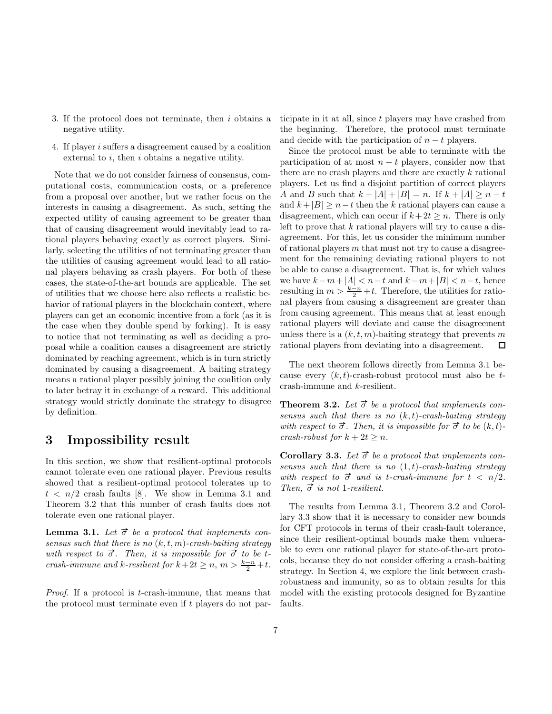- 3. If the protocol does not terminate, then i obtains a negative utility.
- 4. If player i suffers a disagreement caused by a coalition external to  $i$ , then  $i$  obtains a negative utility.

Note that we do not consider fairness of consensus, computational costs, communication costs, or a preference from a proposal over another, but we rather focus on the interests in causing a disagreement. As such, setting the expected utility of causing agreement to be greater than that of causing disagreement would inevitably lead to rational players behaving exactly as correct players. Similarly, selecting the utilities of not terminating greater than the utilities of causing agreement would lead to all rational players behaving as crash players. For both of these cases, the state-of-the-art bounds are applicable. The set of utilities that we choose here also reflects a realistic behavior of rational players in the blockchain context, where players can get an economic incentive from a fork (as it is the case when they double spend by forking). It is easy to notice that not terminating as well as deciding a proposal while a coalition causes a disagreement are strictly dominated by reaching agreement, which is in turn strictly dominated by causing a disagreement. A baiting strategy means a rational player possibly joining the coalition only to later betray it in exchange of a reward. This additional strategy would strictly dominate the strategy to disagree by definition.

### 3 Impossibility result

In this section, we show that resilient-optimal protocols cannot tolerate even one rational player. Previous results showed that a resilient-optimal protocol tolerates up to  $t \leq n/2$  crash faults [8]. We show in Lemma 3.1 and Theorem 3.2 that this number of crash faults does not tolerate even one rational player.

**Lemma 3.1.** Let  $\vec{\sigma}$  be a protocol that implements consensus such that there is no  $(k, t, m)$ -crash-baiting strategy with respect to  $\vec{\sigma}$ . Then, it is impossible for  $\vec{\sigma}$  to be tcrash-immune and k-resilient for  $k+2t \geq n, m > \frac{k-n}{2}+t$ .

Proof. If a protocol is t-crash-immune, that means that the protocol must terminate even if  $t$  players do not participate in it at all, since t players may have crashed from the beginning. Therefore, the protocol must terminate and decide with the participation of  $n - t$  players.

Since the protocol must be able to terminate with the participation of at most  $n - t$  players, consider now that there are no crash players and there are exactly  $k$  rational players. Let us find a disjoint partition of correct players A and B such that  $k + |A| + |B| = n$ . If  $k + |A| \geq n - t$ and  $k+|B| \geq n-t$  then the k rational players can cause a disagreement, which can occur if  $k+2t \geq n$ . There is only left to prove that  $k$  rational players will try to cause a disagreement. For this, let us consider the minimum number of rational players  $m$  that must not try to cause a disagreement for the remaining deviating rational players to not be able to cause a disagreement. That is, for which values we have  $k-m+|A| < n-t$  and  $k-m+|B| < n-t$ , hence resulting in  $m > \frac{k-n}{2} + t$ . Therefore, the utilities for rational players from causing a disagreement are greater than from causing agreement. This means that at least enough rational players will deviate and cause the disagreement unless there is a  $(k, t, m)$ -baiting strategy that prevents m rational players from deviating into a disagreement. □

The next theorem follows directly from Lemma 3.1 because every  $(k, t)$ -crash-robust protocol must also be  $t$ crash-immune and k-resilient.

**Theorem 3.2.** Let  $\vec{\sigma}$  be a protocol that implements consensus such that there is no  $(k, t)$ -crash-baiting strategy with respect to  $\vec{\sigma}$ . Then, it is impossible for  $\vec{\sigma}$  to be  $(k, t)$ crash-robust for  $k + 2t > n$ .

Corollary 3.3. Let  $\vec{\sigma}$  be a protocol that implements consensus such that there is no  $(1,t)$ -crash-baiting strategy with respect to  $\vec{\sigma}$  and is t-crash-immune for  $t < n/2$ . Then,  $\vec{\sigma}$  is not 1-resilient.

The results from Lemma 3.1, Theorem 3.2 and Corollary 3.3 show that it is necessary to consider new bounds for CFT protocols in terms of their crash-fault tolerance, since their resilient-optimal bounds make them vulnerable to even one rational player for state-of-the-art protocols, because they do not consider offering a crash-baiting strategy. In Section 4, we explore the link between crashrobustness and immunity, so as to obtain results for this model with the existing protocols designed for Byzantine faults.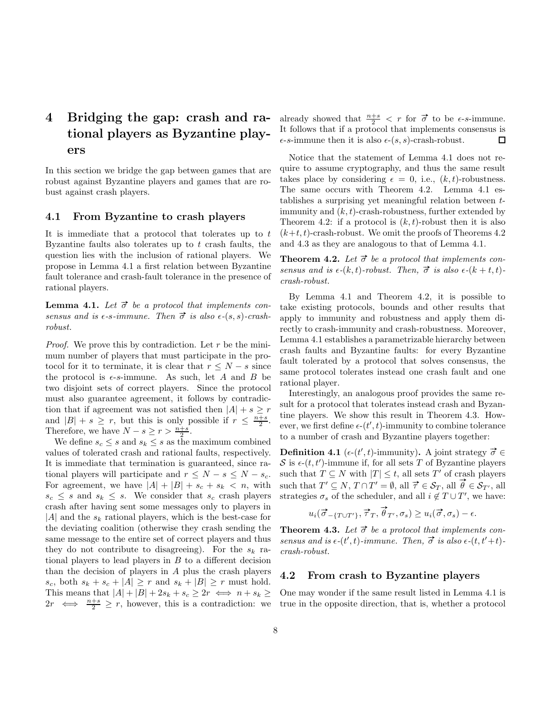# 4 Bridging the gap: crash and rational players as Byzantine players

In this section we bridge the gap between games that are robust against Byzantine players and games that are robust against crash players.

#### 4.1 From Byzantine to crash players

It is immediate that a protocol that tolerates up to  $t$ Byzantine faults also tolerates up to  $t$  crash faults, the question lies with the inclusion of rational players. We propose in Lemma 4.1 a first relation between Byzantine fault tolerance and crash-fault tolerance in the presence of rational players.

**Lemma 4.1.** Let  $\vec{\sigma}$  be a protocol that implements consensus and is  $\epsilon$ -s-immune. Then  $\vec{\sigma}$  is also  $\epsilon$ -(s, s)-crashrobust.

*Proof.* We prove this by contradiction. Let r be the minimum number of players that must participate in the protocol for it to terminate, it is clear that  $r \leq N - s$  since the protocol is  $\epsilon$ -s-immune. As such, let A and B be two disjoint sets of correct players. Since the protocol must also guarantee agreement, it follows by contradiction that if agreement was not satisfied then  $|A| + s \geq r$ and  $|B| + s \geq r$ , but this is only possible if  $r \leq \frac{n+s}{2}$ . Therefore, we have  $N - s \geq r > \frac{n+s}{2}$ .

We define  $s_c \leq s$  and  $s_k \leq s$  as the maximum combined values of tolerated crash and rational faults, respectively. It is immediate that termination is guaranteed, since rational players will participate and  $r \leq N - s \leq N - s_c$ . For agreement, we have  $|A| + |B| + s_c + s_k < n$ , with  $s_c \leq s$  and  $s_k \leq s$ . We consider that  $s_c$  crash players crash after having sent some messages only to players in  $|A|$  and the  $s_k$  rational players, which is the best-case for the deviating coalition (otherwise they crash sending the same message to the entire set of correct players and thus they do not contribute to disagreeing). For the  $s_k$  rational players to lead players in  $B$  to a different decision than the decision of players in A plus the crash players  $s_c$ , both  $s_k + s_c + |A| \geq r$  and  $s_k + |B| \geq r$  must hold. This means that  $|A| + |B| + 2s_k + s_c \geq 2r \iff n + s_k \geq$  $2r \iff \frac{n+s}{2} \geq r$ , however, this is a contradiction: we

already showed that  $\frac{n+s}{2} < r$  for  $\vec{\sigma}$  to be  $\epsilon$ -s-immune. It follows that if a protocol that implements consensus is  $\epsilon$ -s-immune then it is also  $\epsilon$ - $(s, s)$ -crash-robust. □

Notice that the statement of Lemma 4.1 does not require to assume cryptography, and thus the same result takes place by considering  $\epsilon = 0$ , i.e.,  $(k, t)$ -robustness. The same occurs with Theorem 4.2. Lemma 4.1 establishes a surprising yet meaningful relation between timmunity and  $(k, t)$ -crash-robustness, further extended by Theorem 4.2: if a protocol is  $(k, t)$ -robust then it is also  $(k+t, t)$ -crash-robust. We omit the proofs of Theorems 4.2 and 4.3 as they are analogous to that of Lemma 4.1.

**Theorem 4.2.** Let  $\vec{\sigma}$  be a protocol that implements consensus and is  $\epsilon$ -(k, t)-robust. Then,  $\vec{\sigma}$  is also  $\epsilon$ -(k + t, t)crash-robust.

By Lemma 4.1 and Theorem 4.2, it is possible to take existing protocols, bounds and other results that apply to immunity and robustness and apply them directly to crash-immunity and crash-robustness. Moreover, Lemma 4.1 establishes a parametrizable hierarchy between crash faults and Byzantine faults: for every Byzantine fault tolerated by a protocol that solves consensus, the same protocol tolerates instead one crash fault and one rational player.

Interestingly, an analogous proof provides the same result for a protocol that tolerates instead crash and Byzantine players. We show this result in Theorem 4.3. However, we first define  $\epsilon$ - $(t', t)$ -immunity to combine tolerance to a number of crash and Byzantine players together:

**Definition 4.1** ( $\epsilon$ -( $t'$ , $t$ )-immunity). A joint strategy  $\vec{\sigma} \in$ S is  $\epsilon$ - $(t, t')$ -immune if, for all sets T of Byzantine players such that  $T \subseteq N$  with  $|T| \leq t$ , all sets T' of crash players such that  $T \subseteq N$  with  $|T| \leq t$ , an sets T of crash players<br>such that  $T' \subseteq N$ ,  $T \cap T' = \emptyset$ , all  $\vec{\tau} \in \mathcal{S}_T$ , all  $\vec{\theta} \in \mathcal{S}_{T'}$ , all strategies  $\sigma_s$  of the scheduler, and all  $i \notin T \cup T'$ , we have:

$$
u_i(\overrightarrow{\sigma}_{-\{T\cup T'\}}, \overrightarrow{\tau}_T, \overrightarrow{\theta}_{T'}, \sigma_s) \geq u_i(\overrightarrow{\sigma}, \sigma_s) - \epsilon.
$$

**Theorem 4.3.** Let  $\vec{\sigma}$  be a protocol that implements consensus and is  $\epsilon$ -(t', t)-immune. Then,  $\vec{\sigma}$  is also  $\epsilon$ -(t, t'+t)crash-robust.

#### 4.2 From crash to Byzantine players

One may wonder if the same result listed in Lemma 4.1 is true in the opposite direction, that is, whether a protocol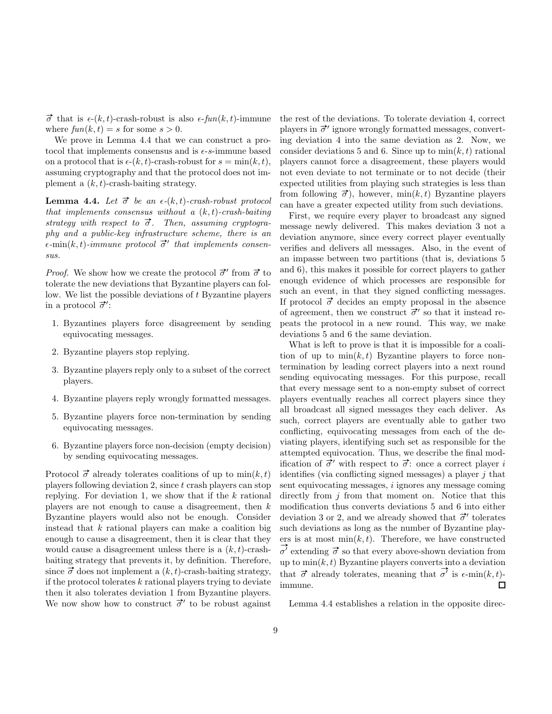$\vec{\sigma}$  that is  $\epsilon$ -(k, t)-crash-robust is also  $\epsilon$ -fun(k, t)-immune where  $fun(k, t) = s$  for some  $s > 0$ .

We prove in Lemma 4.4 that we can construct a protocol that implements consensus and is  $\epsilon$ -s-immune based on a protocol that is  $\epsilon$ -(k, t)-crash-robust for  $s = \min(k, t)$ , assuming cryptography and that the protocol does not implement a  $(k, t)$ -crash-baiting strategy.

**Lemma 4.4.** Let  $\vec{\sigma}$  be an  $\epsilon$ -(k, t)-crash-robust protocol that implements consensus without a  $(k, t)$ -crash-baiting strategy with respect to  $\vec{\sigma}$ . Then, assuming cryptography and a public-key infrastructure scheme, there is an  $\epsilon$ -min(k, t)-immune protocol  $\vec{\sigma}'$  that implements consensus.

*Proof.* We show how we create the protocol  $\vec{\sigma}'$  from  $\vec{\sigma}$  to tolerate the new deviations that Byzantine players can follow. We list the possible deviations of t Byzantine players in a protocol  $\vec{\sigma}'$ :

- 1. Byzantines players force disagreement by sending equivocating messages.
- 2. Byzantine players stop replying.
- 3. Byzantine players reply only to a subset of the correct players.
- 4. Byzantine players reply wrongly formatted messages.
- 5. Byzantine players force non-termination by sending equivocating messages.
- 6. Byzantine players force non-decision (empty decision) by sending equivocating messages.

Protocol  $\vec{\sigma}$  already tolerates coalitions of up to  $\min(k, t)$ players following deviation 2, since t crash players can stop replying. For deviation 1, we show that if the  $k$  rational players are not enough to cause a disagreement, then  $k$ Byzantine players would also not be enough. Consider instead that  $k$  rational players can make a coalition big enough to cause a disagreement, then it is clear that they would cause a disagreement unless there is a  $(k, t)$ -crashbaiting strategy that prevents it, by definition. Therefore, since  $\vec{\sigma}$  does not implement a  $(k, t)$ -crash-baiting strategy, if the protocol tolerates  $k$  rational players trying to deviate then it also tolerates deviation 1 from Byzantine players. We now show how to construct  $\vec{\sigma}'$  to be robust against

the rest of the deviations. To tolerate deviation 4, correct players in  $\vec{\sigma}'$  ignore wrongly formatted messages, converting deviation 4 into the same deviation as 2. Now, we consider deviations 5 and 6. Since up to  $\min(k, t)$  rational players cannot force a disagreement, these players would not even deviate to not terminate or to not decide (their expected utilities from playing such strategies is less than from following  $\vec{\sigma}$ ), however, min $(k, t)$  Byzantine players can have a greater expected utility from such deviations.

First, we require every player to broadcast any signed message newly delivered. This makes deviation 3 not a deviation anymore, since every correct player eventually verifies and delivers all messages. Also, in the event of an impasse between two partitions (that is, deviations 5 and 6), this makes it possible for correct players to gather enough evidence of which processes are responsible for such an event, in that they signed conflicting messages. If protocol  $\vec{\sigma}$  decides an empty proposal in the absence of agreement, then we construct  $\vec{\sigma}'$  so that it instead repeats the protocol in a new round. This way, we make deviations 5 and 6 the same deviation.

What is left to prove is that it is impossible for a coalition of up to  $\min(k, t)$  Byzantine players to force nontermination by leading correct players into a next round sending equivocating messages. For this purpose, recall that every message sent to a non-empty subset of correct players eventually reaches all correct players since they all broadcast all signed messages they each deliver. As such, correct players are eventually able to gather two conflicting, equivocating messages from each of the deviating players, identifying such set as responsible for the attempted equivocation. Thus, we describe the final modification of  $\vec{\sigma}'$  with respect to  $\vec{\sigma}$ : once a correct player i identifies (via conflicting signed messages) a player  $j$  that sent equivocating messages, i ignores any message coming directly from  $j$  from that moment on. Notice that this modification thus converts deviations 5 and 6 into either deviation 3 or 2, and we already showed that  $\vec{\sigma}'$  tolerates such deviations as long as the number of Byzantine players is at most  $\min(k, t)$ . Therefore, we have constructed  $\vec{\sigma'}$  extending  $\vec{\sigma}$  so that every above-shown deviation from up to  $\min(k, t)$  Byzantine players converts into a deviation up to  $\min(\kappa, t)$  by antine players converts to<br>that  $\vec{\sigma}$  already tolerates, meaning that  $\vec{\sigma'}$  $\sigma^{\prime}$  is  $\epsilon$ -min $(k, t)$ immune.  $\Box$ 

Lemma 4.4 establishes a relation in the opposite direc-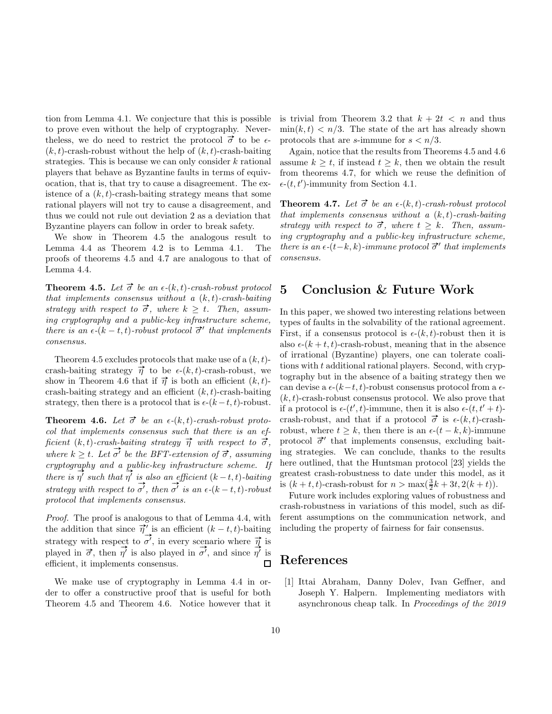tion from Lemma 4.1. We conjecture that this is possible to prove even without the help of cryptography. Neverthe less, we do need to restrict the protocol  $\vec{\sigma}$  to be  $\epsilon$ - $(k, t)$ -crash-robust without the help of  $(k, t)$ -crash-baiting strategies. This is because we can only consider  $k$  rational players that behave as Byzantine faults in terms of equivocation, that is, that try to cause a disagreement. The existence of a  $(k, t)$ -crash-baiting strategy means that some rational players will not try to cause a disagreement, and thus we could not rule out deviation 2 as a deviation that Byzantine players can follow in order to break safety.

We show in Theorem 4.5 the analogous result to Lemma 4.4 as Theorem 4.2 is to Lemma 4.1. The proofs of theorems 4.5 and 4.7 are analogous to that of Lemma 4.4.

**Theorem 4.5.** Let  $\vec{\sigma}$  be an  $\epsilon$ -(k, t)-crash-robust protocol that implements consensus without a  $(k, t)$ -crash-baiting strategy with respect to  $\vec{\sigma}$ , where  $k > t$ . Then, assuming cryptography and a public-key infrastructure scheme, there is an  $\epsilon$ -(k – t, t)-robust protocol  $\vec{\sigma}'$  that implements consensus.

Theorem 4.5 excludes protocols that make use of a  $(k, t)$ crash-baiting strategy  $\vec{\eta}$  to be  $\epsilon$ -(k, t)-crash-robust, we show in Theorem 4.6 that if  $\vec{\eta}$  is both an efficient  $(k, t)$ crash-baiting strategy and an efficient  $(k, t)$ -crash-baiting strategy, then there is a protocol that is  $\epsilon$ - $(k-t, t)$ -robust.

**Theorem 4.6.** Let  $\vec{\sigma}$  be an  $\epsilon$ -(k, t)-crash-robust protocol that implements consensus such that there is an efficient (k, t)-crash-baiting strategy  $\vec{\eta}$  with respect to  $\vec{\sigma}$ , where  $k \geq t$ . Let  $\overrightarrow{\sigma'}$  be the BFT-extension of  $\overrightarrow{\sigma}$ , assuming cryptography and a public-key infrastructure scheme. If there is  $\eta'$  such that  $\eta'$  is also an efficient  $(k-t,t)$ -baiting strategy with respect to  $\sigma'$ , then  $\sigma'$  is an  $\epsilon$ - $(k-t, t)$ -robust protocol that implements consensus.

Proof. The proof is analogous to that of Lemma 4.4, with *the addition that since*  $\vec{\eta}'$  is an efficient  $(k - t, t)$ -baiting  $\rightarrow$  $\overrightarrow{C}$  to  $\overrightarrow{\sigma'}$ , in every scenario where  $\overrightarrow{\eta}$  is strategy with respect to played in  $\vec{\sigma}$ , then  $\eta'$  is also played in  $\vec{\sigma'}$ , and since  $\eta'$  is efficient, it implements consensus.  $\Box$ 

We make use of cryptography in Lemma 4.4 in order to offer a constructive proof that is useful for both Theorem 4.5 and Theorem 4.6. Notice however that it is trivial from Theorem 3.2 that  $k + 2t < n$  and thus  $\min(k, t) < n/3$ . The state of the art has already shown protocols that are s-immune for  $s < n/3$ .

Again, notice that the results from Theorems 4.5 and 4.6 assume  $k \geq t$ , if instead  $t \geq k$ , then we obtain the result from theorems 4.7, for which we reuse the definition of  $\epsilon$ - $(t, t')$ -immunity from Section 4.1.

**Theorem 4.7.** Let  $\vec{\sigma}$  be an  $\epsilon$ -(k, t)-crash-robust protocol that implements consensus without a  $(k, t)$ -crash-baiting strategy with respect to  $\vec{\sigma}$ , where  $t \geq k$ . Then, assuming cryptography and a public-key infrastructure scheme, there is an  $\epsilon$ -(t–k, k)-immune protocol  $\vec{\sigma}'$  that implements consensus.

#### 5 Conclusion & Future Work

In this paper, we showed two interesting relations between types of faults in the solvability of the rational agreement. First, if a consensus protocol is  $\epsilon$ - $(k, t)$ -robust then it is also  $\epsilon$ - $(k + t, t)$ -crash-robust, meaning that in the absence of irrational (Byzantine) players, one can tolerate coalitions with t additional rational players. Second, with cryptography but in the absence of a baiting strategy then we can devise a  $\epsilon$ - $(k-t, t)$ -robust consensus protocol from a  $\epsilon$ - $(k, t)$ -crash-robust consensus protocol. We also prove that if a protocol is  $\epsilon$ - $(t', t)$ -immune, then it is also  $\epsilon$ - $(t, t' + t)$ crash-robust, and that if a protocol  $\vec{\sigma}$  is  $\epsilon$ -(k, t)-crashrobust, where  $t > k$ , then there is an  $\epsilon$ - $(t - k, k)$ -immune protocol  $\vec{\sigma}'$  that implements consensus, excluding baiting strategies. We can conclude, thanks to the results here outlined, that the Huntsman protocol [23] yields the greatest crash-robustness to date under this model, as it is  $(k+t, t)$ -crash-robust for  $n > \max(\frac{3}{2}k + 3t, 2(k+t)).$ 

Future work includes exploring values of robustness and crash-robustness in variations of this model, such as different assumptions on the communication network, and including the property of fairness for fair consensus.

### References

[1] Ittai Abraham, Danny Dolev, Ivan Geffner, and Joseph Y. Halpern. Implementing mediators with asynchronous cheap talk. In Proceedings of the 2019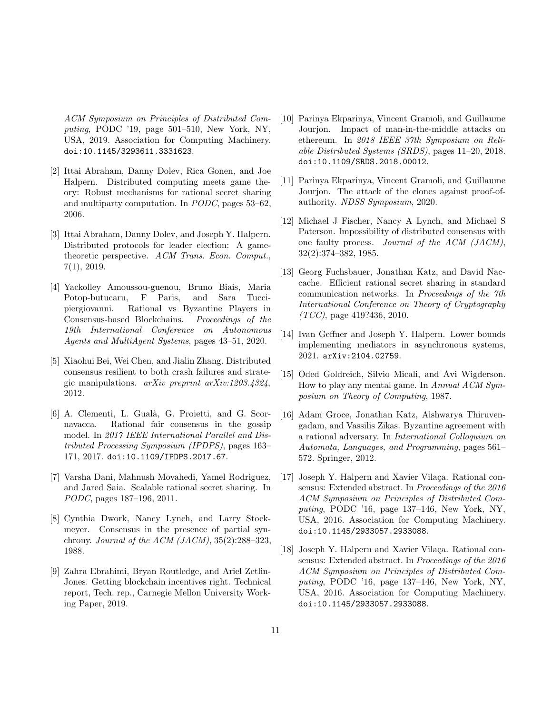ACM Symposium on Principles of Distributed Computing, PODC '19, page 501–510, New York, NY, USA, 2019. Association for Computing Machinery. doi:10.1145/3293611.3331623.

- [2] Ittai Abraham, Danny Dolev, Rica Gonen, and Joe Halpern. Distributed computing meets game theory: Robust mechanisms for rational secret sharing and multiparty computation. In PODC, pages 53–62, 2006.
- [3] Ittai Abraham, Danny Dolev, and Joseph Y. Halpern. Distributed protocols for leader election: A gametheoretic perspective. ACM Trans. Econ. Comput., 7(1), 2019.
- [4] Yackolley Amoussou-guenou, Bruno Biais, Maria Potop-butucaru, F Paris, and Sara Tuccipiergiovanni. Rational vs Byzantine Players in Consensus-based Blockchains. Proceedings of the 19th International Conference on Autonomous Agents and MultiAgent Systems, pages 43–51, 2020.
- [5] Xiaohui Bei, Wei Chen, and Jialin Zhang. Distributed consensus resilient to both crash failures and strategic manipulations. arXiv preprint arXiv:1203.4324, 2012.
- [6] A. Clementi, L. Gual`a, G. Proietti, and G. Scornavacca. Rational fair consensus in the gossip model. In 2017 IEEE International Parallel and Distributed Processing Symposium (IPDPS), pages 163– 171, 2017. doi:10.1109/IPDPS.2017.67.
- [7] Varsha Dani, Mahnush Movahedi, Yamel Rodriguez, and Jared Saia. Scalable rational secret sharing. In PODC, pages 187–196, 2011.
- [8] Cynthia Dwork, Nancy Lynch, and Larry Stockmeyer. Consensus in the presence of partial synchrony. Journal of the ACM (JACM),  $35(2):288-323$ , 1988.
- [9] Zahra Ebrahimi, Bryan Routledge, and Ariel Zetlin-Jones. Getting blockchain incentives right. Technical report, Tech. rep., Carnegie Mellon University Working Paper, 2019.
- [10] Parinya Ekparinya, Vincent Gramoli, and Guillaume Jourjon. Impact of man-in-the-middle attacks on ethereum. In 2018 IEEE 37th Symposium on Reliable Distributed Systems (SRDS), pages 11–20, 2018. doi:10.1109/SRDS.2018.00012.
- [11] Parinya Ekparinya, Vincent Gramoli, and Guillaume Jourjon. The attack of the clones against proof-ofauthority. NDSS Symposium, 2020.
- [12] Michael J Fischer, Nancy A Lynch, and Michael S Paterson. Impossibility of distributed consensus with one faulty process. Journal of the ACM (JACM), 32(2):374–382, 1985.
- [13] Georg Fuchsbauer, Jonathan Katz, and David Naccache. Efficient rational secret sharing in standard communication networks. In Proceedings of the 7th International Conference on Theory of Cryptography  $(TCC)$ , page 419?436, 2010.
- [14] Ivan Geffner and Joseph Y. Halpern. Lower bounds implementing mediators in asynchronous systems, 2021. arXiv:2104.02759.
- [15] Oded Goldreich, Silvio Micali, and Avi Wigderson. How to play any mental game. In Annual ACM Symposium on Theory of Computing, 1987.
- [16] Adam Groce, Jonathan Katz, Aishwarya Thiruvengadam, and Vassilis Zikas. Byzantine agreement with a rational adversary. In International Colloquium on Automata, Languages, and Programming, pages 561– 572. Springer, 2012.
- [17] Joseph Y. Halpern and Xavier Vilaça. Rational consensus: Extended abstract. In Proceedings of the 2016 ACM Symposium on Principles of Distributed Computing, PODC '16, page 137–146, New York, NY, USA, 2016. Association for Computing Machinery. doi:10.1145/2933057.2933088.
- [18] Joseph Y. Halpern and Xavier Vilaça. Rational consensus: Extended abstract. In Proceedings of the 2016 ACM Symposium on Principles of Distributed Computing, PODC '16, page 137–146, New York, NY, USA, 2016. Association for Computing Machinery. doi:10.1145/2933057.2933088.